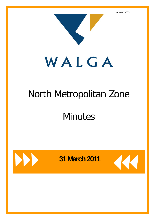

# North Metropolitan Zone

**Minutes** 



WALGA North Metropolitan Zone Meeting – 31 March 2011 1

**31 March 2011** 

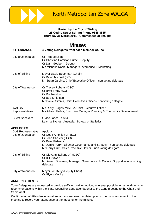

#### **Hosted by the City of Stirling 25 Cedric Street Stirling Phone 9345 8555 Thursday 31 March 2011 - Commenced at 6:00 pm**

## **Minutes**

| <b>ATTENDANCE</b>                              | 4 Voting Delegates from each Member Council                                                                                                                                                                                        |
|------------------------------------------------|------------------------------------------------------------------------------------------------------------------------------------------------------------------------------------------------------------------------------------|
| City of Joondalup                              | Cr Tom McLean<br>Cr Christine Hamilton-Prime - Deputy<br>Cr Liam Gobbert - Deputy<br>Ms Michelle Noble, Manager Governance & Marketing                                                                                             |
| City of Stirling                               | Mayor David Boothman (Chair)<br>Cr David Michael (SC)<br>Mr Stuart Jardine, Chief Executive Officer - non voting delegate                                                                                                          |
| City of Wanneroo                               | Cr Tracey Roberts (DSC)<br>Cr Brett Treby (SC)<br>Cr Dot Newton<br>Cr Bob Smithson<br>Mr Daniel Simms, Chief Executive Officer – non voting delegate                                                                               |
| <b>WALGA</b><br>Representatives                | Ms Ricky Burges, WALGA Chief Executive Officer<br>Ms Allison Hailes, Executive Manager Planning & Community Development                                                                                                            |
| <b>Guest Speakers</b>                          | <b>Grace Jones Telstra</b><br>Leanna Everet - Australian Bureau of Statistics                                                                                                                                                      |
| <b>APOLOGIES</b>                               |                                                                                                                                                                                                                                    |
| <b>DLG Representative</b><br>City of Joondalup | Apology<br>Cr Geoff Amphlett JP (SC)<br>Cr John Chester (DSC)<br><b>Cr Russ Fishwick</b><br>Mr Jamie Parry, Director Governance and Strategy - non voting delegate<br>Mr Garry Hunt, Chief Executive Officer - non voting delegate |
| City of Stirling                               | Cr Giovanni Italiano JP (DSC)<br><b>Cr Bill Stewart</b><br>Mr Aaron Bowman, Manager Governance & Council Support – non voting<br>delegate                                                                                          |
| City of Wanneroo                               | Mayor Jon Kelly (Deputy Chair)<br>Cr Glynis Monks                                                                                                                                                                                  |

#### **ANNOUNCEMENTS**

Zone Delegates are requested to provide sufficient written notice, wherever possible, on amendments to recommendations within the State Council or Zone agenda prior to the Zone meeting to the Chair and Secretariat.

Confirmation of Attendance an attendance sheet was circulated prior to the commencement of the meeting to record your attendance at the meeting for the minutes.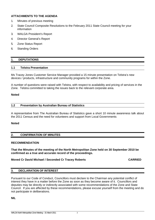### **ATTACHMENTS TO THE AGENDA**

- 1. Minutes of previous meeting
- 2. State Council Composite Resolutions to the February 2011 State Council meeting for your information
- 3. WALGA President's Report
- 4. Director General's Report
- 5. Zone Status Report
- 6. Standing Orders

### **1. DEPUTATIONS**

#### **1.1 Telstra Presentation**

Ms Tracey Jones Customer Service Manager provided a 15 minute presentation on Telstra's new devices / products, infrastructure and community programs for within the Zone.

A number of questions were raised with Telstra, with respect to availability and pricing of services in the Zone. Telstra committed to taking the issues back to the relevant corporate area.

#### **Noted**

#### **1.2 Presentation by Australian Bureau of Statistics**

A representative from The Australian Bureau of Statistics gave a short 10 minute awareness talk about the 2011 Census and the need for volunteers and support from Local Governments

#### **Noted**

#### **2. CONFIRMATION OF MINUTES**

#### **RECOMMENDATION**

**That the Minutes of the meeting of the North Metropolitan Zone held on 30 September 2010 be confirmed as a true and accurate record of the proceedings.** 

#### **Moved Cr David Michael / Seconded Cr Tracey Roberts CARRIED CARRIED**

#### **3. DECLARATION OF INTEREST**

Pursuant to our Code of Conduct, Councillors must declare to the Chairman any potential conflict of interest they have in a matter before the Zone as soon as they become aware of it. Councillors and deputies may be directly or indirectly associated with some recommendations of the Zone and State Council. If you are affected by these recommendations, please excuse yourself from the meeting and do not participate in deliberations.

**NIL**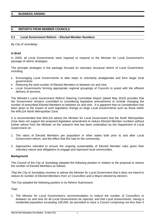#### **4. BUSINESS ARISING**

#### **5. REPORTS FROM MEMBER COUNCILS**

#### **5.1 Local Government Reform – Elected Member Numbers**

#### *By City of Joondalup*

#### **In Brief**

In 2009, all Local Governments were required to respond to the Minister for Local Government's package of reform strategies.

The principle strategies in the package focused on voluntary structural reform of Local Government, including:

- Encouraging Local Governments to take steps to voluntarily amalgamate and form larger local governments.
- Reducing the total number of Elected Members to between six and nine.
- Local Governments forming appropriate regional groupings of Councils to assist with the efficient delivery of services.

The Minister's Local Government Reform Steering Committee Report (dated May 2010) provides that the Government remains committed to considering legislative amendments to include changing the number of prescribed Elected Members to between six and nine. It is apparent that no consideration has been given to the impact of such legislative change on large Local Governments such as those within the WALGA North Metropolitan Zone.

It is recommended that WALGA advise the Minister for Local Government that the North Metropolitan Zone does not support the proposed legislative amendment to reduce Elected Member numbers without further advice from the Minister on the research that has been undertaken by the Department of Local Government on:

- 1. The ratios of Elected Members per population in other states both prior to and after Local Government reform, and the effect that this had on the community;
- 2. Approaches intended to ensure the ongoing sustainability of Elected Member roles given their voluntary nature and obligations to engage and represent local communities.

#### **Background**

The Council of the City of Joondalup adopted the following position in relation to the proposal to reduce the number of Elected Members as follows:

*That the City of Joondalup resolves to advise the Minister for Local Government that it does not intend to reduce its number of Elected Members from 12 Councillors and a Mayor elected by electors.* 

The City adopted the following position in its Reform Submission:

*That:* 

1. *The Minister for Local Government's recommendation to reduce the number of Councillors to between six and nine for all Local Governments be rejected, and that Local Governments, having a residential population exceeding 100,000, be permitted to have a Council comprising not less than 5*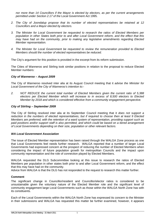*nor more than 14 Councillors if the Mayor is elected by electors, as per the current arrangements permitted under Section 2.17 of the* Local Government Act 1995.

- *2. The City of Joondalup propose that its number of elected representatives be retained at 12 Councillors and a Mayor elected by electors.*
- *3. The Minister for Local Government be requested to research the ratios of Elected Members per population in other States both prior to and after Local Government reform, and the effect that this may have had on the community, prior to making any legislative amendments regarding Elected Member representation.*
- *4. The Minister for Local Government be requested to review the remuneration provided to Elected Members should the number of elected representatives be reduced.*

The City's argument for this position is provided in the excerpt from its reform submission.

The Cities of Wanneroo and Stirling took similar positions in relation to the proposal to reduce Elected Member numbers:

#### *City of Wanneroo – August 2009*

The City of Wanneroo resolved inter alia at its August Council meeting that it *advise the Minister for Local Government of the City of Wanneroo's intention to:-* 

*2. NOT REDUCE the current total number of Elected Members given the current ratio of 5,388 electors per Elected Member which will increase to in excess of 8,500 electors to Elected Member by 2018 and which is considered effective from a community engagement perspective.* 

#### *City of Stirling – September 2009*

The City of Stirling resolved inter alia at its September Council meeting that it *does not support a reduction in the numbers of elected representatives, but if required to choose then at least 9 Elected Members are preferred, with the retention of a ward system of representation, providing support such as paid positions and/or support staff is also permitted, and which could be based on a tiered arrangement of Local Governments depending on their size, population or other relevant factors.* 

#### *WA Local Government Association*

The issue of Elected Member representation has been raised through the WALGA Zone process as one that Local Governments feel needs further research. WALGA reported that a number of larger Local Governments had expressed concern at the prospect of reducing the number of Elected Members when considering the impact of future population growth for metropolitan Councils and the impact upon community representation and the role of connection played by Elected Members.

WALGA requested the DLG Subcommittee looking at this issue to research the ratios of Elected Members per population in other states both prior to and after Local Government reform, and the effect that this may have had on the community.

Advice from WALGA is that the DLG has not responded to the request to research this matter further.

#### **Comment**

The significant change in Councillor/resident and Councillor/elector ratios is considered to be unsustainable given the voluntary nature of the Elected Member role and the significant level of community engagement large Local Governments such as those within the WALGA North Zone has with its constituents.

Each of the Local Governments within the WALGA North Zone has expressed its concern to the Minister in their submissions and WALGA has requested this matter be further examined, however, it appears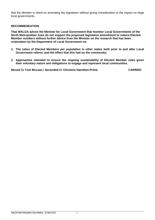that the Minister is intent on amending the legislation without giving consideration to the impact on large local governments.

#### **RECOMMENDATION**

**That WALGA advise the Minister for Local Government that member Local Governments of the North Metropolitan Zone do not support the proposed legislative amendment to reduce Elected Member numbers without further advice from the Minister on the research that has been undertaken by the Department of Local Government on:** 

- **1. The ratios of Elected Members per population in other states both prior to and after Local Government reform, and the effect that this had on the community;**
- **2. Approaches intended to ensure the ongoing sustainability of Elected Member roles given their voluntary nature and obligations to engage and represent local communities.**

**Moved Cr Tom McLean / Seconded Cr Christine Hamilton-Prime CARRIED**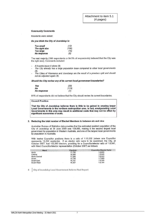#### **Community Comments**

Residents were asked:

Do you think the City of Joondalup is:

| <b>Too small</b> | (12)  |
|------------------|-------|
| The right size   | (186) |
| <b>Too large</b> | (16)  |
| No response      | (6)   |

The vast majority (186 respondents or 84.5% of respondents) believed that the City was the right size). Comments included:

- If it works leave it alone (9).
- The City already has a large population base compared to other local governments  $(5).$
- The Cities of Wanneroo and Joondalup are the result of a previous split and should not be adjusted again (5).

Should the City review any of its current local government boundaries?

| Yes         | (35)  |
|-------------|-------|
| No          | (178) |
| No response | (7)   |

81% of respondents did not believe that the City should review its current boundaries.

#### **Council Position**

That the City of Joondalup believes there is little to be gained in creating larger Local Governments in the northern metropolitan area. In fact, amalgamating Local Governments in this area may result in additional costs that may not be offset by significant economies of scale.

#### 2. Reducing the total number of Elected Members to between six and nine

Australian Bureau of Statistics data provides that the estimated resident population of the City of Joondalup at 30 June 2008 was 159,986, making it the second largest local government by population in Western Australia, and one of the largest local governments by population in Australia.

With twelve Councillor positions there is a ratio of 1:13,332 (where one Councillor represents 13,332 residents). If an elector ratio were to be examined, the City, at October 2007, had 102,563 electors, providing for a Councillor/elector ratio of 1:8,547, with Ward Councillor/elector representation (October 2007) as follows:

| Ward                 | <b>Electors</b> | <b>Councillor/Elector Ratio</b> |
|----------------------|-----------------|---------------------------------|
| North                | 17,706          | 1:8,853                         |
| Central              | 16,896          | 1:8.848                         |
| <b>North Central</b> | 17,099          | 1:8,550                         |
| South                | 15,738          | 1:7.869                         |
| South East           | 16.797          | 1:8.399                         |
| South West           | 18,327          | 1:9,164                         |

City of Joondalup Local Government Reform Final Report 6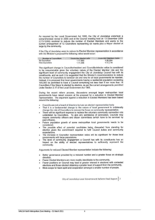As required by the Local Government Act 1995, the City of Joondalup undertook a comprehensive review in 2005 and at the Council meeting held on 13 December 2005 (C73-12/05) resolved to reduce the number of Elected Members and wards to the current arrangement of 12 Councillors representing six wards plus a Mayor elected at large by the community.

If the City of Joondalup were to reduce its Elected Member representation in accordance with the Minister's proposal the following ratios would occur:

| <b>Number of Councillors</b> | <b>Councillor Elector ratio</b> | <b>Councillor Resident Ratio</b> |
|------------------------------|---------------------------------|----------------------------------|
| <b>Six Councillors</b>       | 1:17.093                        | 1:26.684                         |
| Nine Councillors             | 1:11.395                        | 1:17.776                         |

The significant change in Councillor/resident and Councillor/elector ratios is considered to be unsustainable given the voluntary nature of the Elected Member role and the significant level of community engagement the City of Joondalup Council has with its constituents, and as such it is suggested that the Minister's recommendation to reduce the number of Councillors to between six and nine for all local governments be rejected. Instead, it is proposed that local governments having a residential population exceeding 100,000 be permitted to have a Council comprising not less than 5 nor more than 14 Councillors if the Mayor is elected by electors, as per the current arrangements permitted under Section 2.17 of the Local Government Act 1995.

During the recent reform process, discussions amongst larger metropolitan local governments have raised concern at the proposal for a reduction in Elected Member representation. The argument against a reduction in Elected Members has been based around the following:

- Councils are not a board of directors but are an elected representative body.
- That it is a fundamental change to the nature of local government to unilaterally change the role of Councillors to remove the focus on community representation.
- There will be significant expense to replace the voluntary community connection role undertaken by Councillors. To give any semblance of connection, Councils may require community officers and citizen committees (which have to be serviced by paid officers).
- Future population growth of some metropolitan local governments needs to be considered.
- The possible effect of potential candidates being dissuaded from standing for election given the commitment required to fulfil Council duties and community expectations.
- The increase in Councillor representation ratios will be significant for those local governments with large populations.
- The level of community engagement a Council has with its constituents has an impact on the ability of elected representatives to sufficiently represent the community.

Arguments for reduced Elected Member representation include the following:

- Better governance provided by a reduced number and a greater focus on strategic direction.
- Fewer Elected Members are more readily identifiable to the community.
- Fewer positions on Council may lead to greater interest in elections with contested elections and those elected obtaining a greater level of support from the community.
- More scope for team spirit and cooperation amongst a smaller number of people.

City of Joondalup Local Government Reform Final Report 7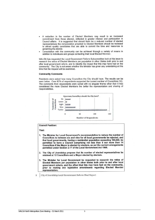- A reduction in the number of Elected Members may result in an increased commitment from those elected, reflected in greater interest and participation in Council affairs. It is suggested that should there be a reduced number of elected representatives the remuneration provided to Elected Members should be reviewed to attract quality candidates that are able to commit the time and resources to governing the district.
- Consultation with the community can be achieved through a variety of means in addition to individuals and groups contacting their local Elected Member.

WALGA has requested the Local Government Reform Subcommittee look at this issue to research the ratios of Elected Members per population in other States both prior to and after local government reform, and to identify the impact that this may have had on the community. The City is not aware whether the Minister has given any undertaking at this time that the request will be examined.

#### **Community Comments**

Residents were asked how many Councillors the City should have. The results can be seen below. Over 80% of respondents supported the current number of Councillors (12). The comments from respondents were varied with no singular theme other than it was considered the more Elected Members the better the representation and sharing of responsibilities.



#### **Council Position:**

#### That:

- 1. The Minister for Local Government's recommendation to reduce the number of Councillors to between six and nine for all local governments be rejected, and that local governments, having a residential population exceeding 100,000, be permitted to have a Council comprising not less than 5 nor more than 14 Councillors if the Mayor is elected by electors, as per the current arrangements permitted under Section 2.17 of the Local Government Act 1995.
- 2. The City of Joondalup propose that its number of elected representatives be retained at 12 Councillors and a Mayor elected by electors.
- 3. The Minister for Local Government be requested to research the ratios of Elected Members per population in other States both prior to and after local government reform, and the effect that this may have had on the community, prior to making any legislative amendments regarding Elected Member representation.
- $\overline{8}$

City of Joondalup Local Government Reform Final Report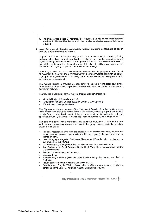4. The Minister for Local Government be requested to review the remuneration provided to Elected Members should the number of elected representatives be reduced.

#### 3. Local Governments forming appropriate regional grouping of Councils to assist with the efficient delivery of service

As part of the reform process the Mayors and CEOs of the Cities of Wanneroo, Stirling and Joondalup discussed matters related to amalgamation, boundary amendments and regional sharing and cooperation. It was agreed that whilst it was viewed there was no immediate requirement for structural reform at this time the Cities have given a firm commitment to ongoing cooperation for the benefit of the region.

In the City of Joondalup's Local Government Reform Checklist (adopted by the Council at its April 2009 meeting), the City indicated that it currently worked effectively as part of a group of local governments, comprising the north-west corridor of metropolitan Perth, delivering services regionally.

The regional approach provides an opportunity to extend beyond local government boundaries and to facilitate cooperation between all local governments, businesses and community networks.

The City has the following formal regional sharing arrangements in place:

- Mindarie Regional Council (recycling).
- Tamala Pak Regional Council (recycling and land development).
- WALGA North Metropolitan Zone.

The City was an integral member of the North West Corridor Coordinating Committee, which considered the future growth need of the corridor, including regional governance models for economic development. It is recognised that this Committee is no longer operating, however, at the time it was an important catalyst for regional cooperation.

The north corridor of local governments retains similar interests and utilise both formal and informal networks/agreements to benefit the group through projects including, though not limited to:

- Regional resource sharing with the objective of enhancing economic, tourism and employment development opportunities within the region (including employment of shared officers).
- Lake Yellagonga Integrated Catchment Management Plan (included employment of a shared officer in 2008/09).
- Local Emergency Management Plan established with the City of Wanneroo.
- Joint funding of the Small Business Centre North West Metro in association with the City of Wanneroo.
- Regional infrastructure planning needs.
- Benchmarking.
- Australia Day activities (with the 2009 function being the largest ever held in Australia).
- Refuse collection contract with the City of Wanneroo.
- Establishment of a joint Working Group with the Cities of Wanneroo and Stirling to participate in the Local Government Alcohol Management Project.

City of Joondalup Local Government Reform Final Report | 9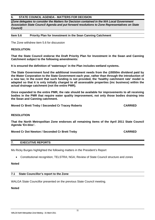### **6. STATE COUNCIL AGENDA - MATTERS FOR DECISION**

**(***Zone delegates to consider the Matters for Decision contained in the WA Local Government Association State Council Agenda and put forward resolutions to Zone Representatives on State Council)*

**Item 5.6 Priority Plan for Investment in the Sean Canning Catchment** 

The Zone withdrew item 5.6 for discussion

#### **RESOLUTION:**

**That the State Council endorse the Draft Priority Plan for Investment in the Swan and Canning Catchment subject to the following amendments:** 

**It is ensured the definition of 'waterways' in the Plan includes wetland systems.** 

**The State Government fund the additional investment needs from the @\$550m dividend paid by the Water Corporation to the State Government each year, rather than through the introduction of a new tax; In the event that such funding is not provided, the 'healthy catchment rate' model is adapted so that it is only initially charged to all assessable properties (inc business) within the actual drainage catchment (not the entire PMR).** 

**Once expanded to the entire PMR, the rate should be available for improvements to all receiving bodies in the PMR that require water quality improvement, not only those bodies draining into the Swan and Canning catchment.** 

**Moved Cr Brett Treby / Seconded Cr Tracey Roberts Trace CARRIED CARRIED** 

#### **RESOLUTION**

**That the North Metropolitan Zone endorses all remaining items of the April 2011 State Council Agenda 'En-bloc'.** 

**Moved Cr Dot Newton / Seconded Cr Brett Treby CARRIED CARRIED** 

#### **7. EXECUTIVE REPORTS**

Ms Ricky Burges highlighted the following matters in the President's Report

Constitutional recognition; TELSTRA; NGA; Review of State Council structure and zones

#### **Noted**

#### **7.1 State Councillor's report to the Zone**

WALGA State Councillor presented on the previous State Council meeting.

#### **Noted**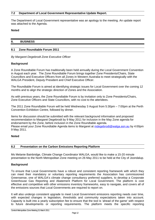#### **7.2 Department of Local Government Representative Update Report.**

The Department of Local Government representative was an apology to the meeting. An update report was attached to the Agenda.

#### **Noted**

#### **8. BUSINESS**

#### **8.1 Zone Roundtable Forum 2011**

*By Margaret Degebrodt Zone Executive Officer* 

#### **Background**

A Zone Roundtable Forum has traditionally been held annually during the Local Government Convention in August each year. The Zone Roundtable Forum brings together Zone Presidents/Chairs, State Councillors and Executive Officers from all Zones in Western Australia to meet strategically with the WALGA President, Deputy President and Chief Executive Officer.

The Roundtable Forum is aimed at identifying strategic issues for Local Government over the coming 12 months and to align the strategic direction of Zones and the Association.

As with previous years, the Zone Roundtable Forum is by invitation only to Zone Presidents/Chairs, Zone Executive Officers and State Councillors, with no cost to the attendees.

The 2011 Zone Roundtable Forum will be held Wednesday 3 August from 5:30pm – 7:00pm at the Perth Convention Exhibition Centre, followed by dinner.

Items for discussion should be submitted with the relevant background information and proposed recommendation to Margaret Degebrodt by 9 May 2011 for inclusion in the May Zone agenda for endorsement by the Zone, before inclusion in the Zone Roundtable agenda. Please email your Zone Roundtable Agenda items to Margaret at mdegebrodt@walga.asn.au by 4:00pm 9 May 2011.

#### **Noted**

#### **8.2 Presentation on the Carbon Emissions Reporting Platform**

Ms Melanie Bainbridge, Climate Change Coordinator WALGA, would like to make a 15-20 minute presentation to the North Metropolitan Zone meeting on 26 May 2011 to be held at the City of Joondalup.

#### **Background**

To ensure that Local Governments have a robust and consistent reporting framework with which they can meet their mandatory or voluntary reporting requirements the Association has commissioned Greensense, one of WALGA's climate change consultancy preferred suppliers, to develop a Corporate Greenhouse Gas Reporting and Abatement Platform for Local Government. The platform is cost effective and competitive with other emissions inventory frameworks, easy to navigate, and covers all of the emissions sources that Local Governments are required to report on.

It will also undergo consistent upgrade to meet Local Government emissions reporting needs over time, with expected changes in legislation, thresholds and community expectations taken into account. Capacity is built into a yearly subscription fee to ensure that the tool is 'ahead of the game' with respect to future developments or reporting requirements. The platform meets the specific reporting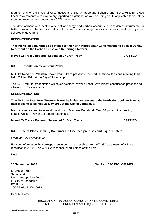requirements of the National Greenhouse and Energy Reporting Scheme and ISO 14064, for those Local Governments with mandatory reporting obligations, as well as being easily applicable to voluntary reporting requirements under the NCOS framework.

The development of a sector wide set of energy and carbon accounts is considered instrumental in better positioning the sector in relation to future climate change policy instruments developed by other spheres of government.

#### **RECOMMENDATION**

#### **That Ms Melanie Bainbridge be invited to the North Metropolitan Zone meeting to be held 26 May to present on the Carbon Emissions Reporting Platform.**

#### **Moved Cr Tracey Roberts / Seconded Cr Brett Treby CARRIED**

#### **8.3 Presentation by Western Power**

Mr Mike Read from Western Power would like to present to the North Metropolitan Zone meeting to be held 26 May 2011 at the City of Joondalup.

The 15-20 minute presentation will cover Western Power's Local Government consultation process and where to go for assistance.

#### **RECOMMENDATION**

**That Mr Mike Read from Western Power be invited to present to the North Metropolitan Zone at their meeting to be held 26 May 2011 at the City of Joondalup.** 

Members were asked to forward questions to Margaret Degebrodt, WALGA prior to the meeting to enable Western Power to prepare responses.

#### **Moved Cr Tracey Roberts / Seconded Cr Brett Treby CARRIED CARRIED**

#### **8.4 Use of Glass Drinking Containers in Licensed premises and Liquor Outlets**

#### *From the City of Joondalup*

For your information the correspondence below was received from WALGA as a result of a Zone resolution in 2009. The WALGA response should close off the item.

#### **Noted**

Mr Jamie Parry **Secretariat** North Metropolitan Zone c/- City of Joondalup PO Box 21 JOONDALUP WA 6919

Central Metropolitan Zone Meeting 31 March 2011

Dear Mr Parry

RESOLUTION 7.10 USE OF GLASS DRINKING CONTAINERS IN LICENSED PREMISES AND LIQUOR OUTLETS.

**20 September 2010 Our Ref: 06-045-01-0001/RS**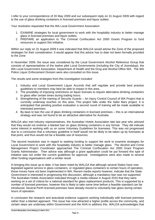I refer to your correspondence of 20 May 2009 and our subsequent reply on 31 August 2009 with regard to the use of glass drinking containers in licensed premises and liquor outlets.

Your resolution requested that the WA Local Government Association:

- 1. EXAMINE strategies for local government to work with the hospitality industry to better manage glass in licensed premises and liquor outlets.
- 2. PREPARE an application to The Criminal Confiscation Act 2000 Grants Program to fund resources to support this initiative.

Within our reply on 31 August 2009 it was indicated that WALGA would advise the Zone of the proposed strategies for their consideration. It would appear that this advice has to date not been formally provided to the Zone

In November 2009, the issue was considered by the Local Government Alcohol Reference Group that consists of representatives of the twelve pilot Local Governments (including the City of Joondalup), the WA Local Government Association, Department of Health and the Drug and Alcohol Office WA. The WA Police Liquor Enforcement Division were also consulted on this issue.

The results and some strategies from this investigation included:

- 1. Industry and Local Government Liquor Accords that self regulate and provide best practice guidelines to members may best be able to impact in this area.
- 2. The possibility of imposing restrictions on liquor licenses to require alternative drinking containers to glass after certain times during trading hours.
- 3. Strengthening of the training of Security Guards An Injury Control Council of WA Project that is currently underway touches on this area. This project falls under the Safer Bars project. It is anticipated that pending positive evaluation a second round of training will be made available to interested premises
- 4. By-laws to ban the use of glass drinking containers in licensed premises this is an international strategy and was not found to be an attractive alternative for Australia

WALGA also met industry representatives, the Australian Hotels Association late last year who advised that they would not endorse a blanket ban on glass drinking containers in any format. They did indicate some interest in working with us on some Voluntary Guidelines for licensees. This was not progressed due to a conclusion that a voluntary guideline in itself would not be likely to be taken up by licensees at that point, and thus would not be a feasible use of resources.

The second resolution was in regard to seeking funding to support the work to examine strategies for Local Government to work with the hospitality industry to better manage glass. The Alcohol and Crime Management Project Coordinator approached The Criminal Confiscation Act 2000 Grant Program Grants Administrator. Their advice was although a grant application could be put forward this type of initiative was not under the current guidelines for approval. Investigations were also made to several other funding organisations with a similar result.

In bringing this issue up to date, it has been noted by WALGA that although several States have now legislated against service in glass containers, or regulated glass containers to certain hours of operation, these moves have not been implemented in WA. Recent media reports however, indicate that the State Government is interested in progressing this discussion, although a mandatory ban was not supported. The Australian Hotels Association indicated through a media release in August 2010 that they were working on a set of criteria for a national standard for glass replacement products. This is supported by a number of licensed premises, however this is likely to take some time before a feasible standard can be introduced. Several Perth licensed premises have already moved to voluntarily ban glass during certain hours of operation.

In conclusion the research and anecdotal evidence supports working individually with licensed premises rather than a blanket approach. This issue has now attracted a higher profile across the community, and certain steps are underway within Government and the AHA to address this. WALGA acknowledges that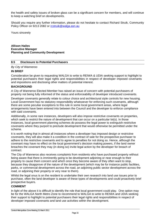the health and safety issues of broken glass can be a significant concern for members, and will continue to keep a watching brief on developments.

Should you require any further information, please do not hesitate to contact Richard Struik, Community Policy Officer on 9213 2082 or rcstruik@walga.asn.au

Yours sincerely

**Allison Hailes Executive Manager Planning and Community Development** 

#### **8.5 Disclosure to Potential Purchasers**

#### *By City of Wanneroo*

#### **IN BRIEF**

Consideration be given to requesting WALGA to write to REIWA & UDIA seeking support to highlight to potential purchasers their legal rights and responsibilities in respect of developer imposed covenants and impositions and disclosing other matters of potential interest.

#### **BACKGROUND**

A City of Wanneroo Elected Member has raised an issue of concern with potential purchasers of property not being fully informed of the status and enforceability of developer introduced covenants.

Developer covenants generally relate to colour choice and architectural style controls for new housing. Local Government has no statutory responsibility whatsoever for enforcing such covenants, although there are some peculiar exceptions to this rule in some local government areas, where legal arrangements have been entered into between the Council and the developer to enforce compliance with said covenants.

Additionally, in some rare instances, developers will also impose restrictive covenants on properties, which seek to restrict the nature of development that can occur on a particular lot(s). In those instances, local government planning schemes do possess the legal power to extinguish restrictive covenants where they purport to preclude development that would otherwise be permitted under the scheme.

It is worth noting that in almost all instances where a developer has imposed design or restrictive covenants, they will also make it a condition in the contract of sale for the prospective purchaser to adhere to the restrictive covenants and to agree to penalties for not doing so. Hence, although the covenant may have no effect on the local government's decision making powers, if the land owner breaches the covenant they may (in doing so) invite legal action by the developer for breach of contract.

The City of Wanneroo also receives complaints from residents who have purchased property without being aware that there is imminently going to be development adjoining or near enough to their property to cause them concern and which once they become aware of they often want to stop, because they disapprove of the nature of the development (which may be for instance public facilities, parks, or commercial development across the road, an adjoining public sector development across the road, or adjoining their property or very near to them).

Whilst the legal onus is on the resident to undertake their own research into land use issues prior to purchase, often the land developer is aware of these types of developments and could proactively brief prospective buyers.

#### **COMMENT**

In light of the above it is difficult to identify the role that local government could play. One option may be for the WALGA North Metro Zone to recommend to WALGA to write to REIWA and UDIA seeking their support to highlight to potential purchasers their legal rights and responsibilities in respect of developer imposed covenants and land use activities within the development.